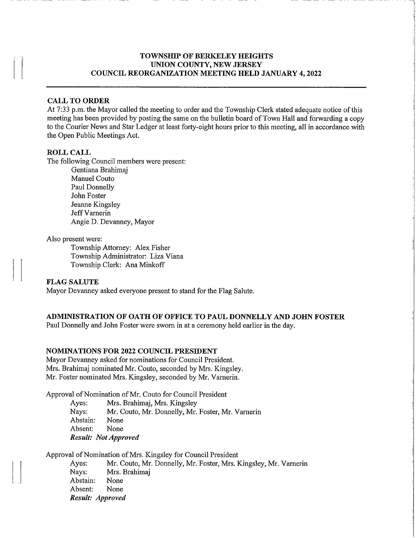## TOWNSHIP OF BERKELEY HEIGHTS UNION COUNTY, NEW JERSEY COUNCIL REORGANIZATION MEETWG HELD JANUARY 4,2022

 $\Box$ 

## CALL TO ORDER

At 7:33 p.m. the Mayor called the meeting to order and the Township Clerk stated adequate notice of this meeting has been provided by posting the same on the bulletin board of Town Hall and forwarding a copy to the Courier News and Star Ledger at least forty-eight hours prior to this meeting, all in accordance with the Open Public Meetings Act.

#### ROLL CALL

The following Council members were present:

Gentiana Brahimaj Manuel Couto Paul Donnelly John Foster Jeanne Kingsley Jeff Varnerin Angie D. Devanney, Mayor

#### Also present were:

Township Attorney: Alex Fisher Township Administrator: Liza Viana Township Clerk: Ana Minkoff

## FLAG SALUTE

Mayor Devanney asked everyone present to stand for the Flag Salute.

#### ADMINISTRATION OF OATH OF OFFICE TO PAUL DONNELLY AND JOHN FOSTER

Paul Donnelly and John Foster were sworn in at a ceremony held earlier in the day.

#### NOMmATIONS FOR 2022 COUNCIL PRESIDENT

Mayor Devanney asked for nominations for Council President. Mrs. Brahimaj nominated Mr. Couto, seconded by Mrs. Kingsley. Mr. Foster nominated Mrs. Kingsley, seconded by Mr. Vamerin.

Approval of Nomination of Mr. Couto for Council President

Ayes: Mrs. Brahimaj, Mrs. Kingsley

Nays: Mr. Couto, Mr. Donnelly, Mr. Foster, Mr. Vamerin

Abstain: None

Absent: None

Result: Not Approved

Approval of Nomination of Mrs. Kingsley for Council President

Ayes: Mr. Couto, Mr. Donnelly, Mr. Foster, Mrs. Kingsley, Mr. Vamerin Nays: Mrs. Brahimaj Abstain: None Absent: None Result: Approved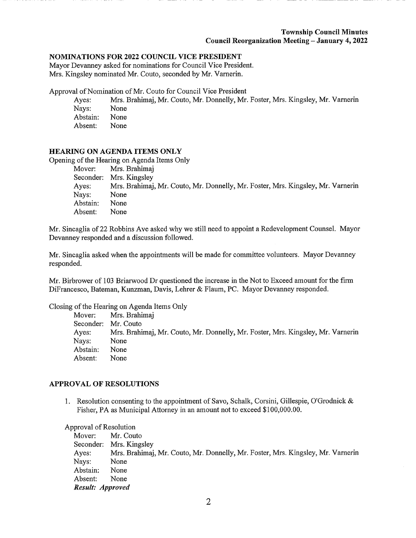## NOMINATIONS FOR 2022 COUNCIL VICE PRESIDENT

Mayor Devanney asked for nominations for Council Vice President. Mrs. Kingsley nominated Mr. Couto, seconded by Mr. Vamerin.

Approval of Nomination of Mr. Couto for Council Vice President

- Ayes: Mrs. Brahimaj, Mr. Couto, Mr. Donnelly, Mr. Foster, Mrs. Kingsley, Mr. Varnerin
- Nays: None<br>Abstain: None
- Abstain: Absent: None
- 

## HEARING ON AGENDA ITEMS ONLY

Opening of the Hearing on Agenda Items Only

| Mover:    | Mrs. Brahimaj                                                                   |
|-----------|---------------------------------------------------------------------------------|
| Seconder: | Mrs. Kingsley                                                                   |
| Ayes:     | Mrs. Brahimaj, Mr. Couto, Mr. Donnelly, Mr. Foster, Mrs. Kingsley, Mr. Varnerin |
| Nays:     | None                                                                            |
| Abstain:  | None                                                                            |
| Absent:   | None                                                                            |

Mr. Sincaglia of 22 Robbins Ave asked why we still need to appoint a Redevelopment Counsel. Mayor Devanney responded and a discussion followed.

Mr. Sincaglia asked when the appointments will be made for committee volunteers. Mayor Devanney responded.

Mr. Birbrower of 103 Briarwood Dr questioned the increase in the Not to Exceed amount for the firm DiFrancesco, Bateman, Kunzman, Davis, Lehrer & Flaum, PC. Mayor Devanney responded.

Closing of the Hearing on Agenda Items Only

|          | Mover: Mrs. Brahimaj                                                            |
|----------|---------------------------------------------------------------------------------|
|          | Seconder: Mr. Couto                                                             |
| Ayes:    | Mrs. Brahimaj, Mr. Couto, Mr. Donnelly, Mr. Foster, Mrs. Kingsley, Mr. Varnerin |
| Nays:    | None                                                                            |
| Abstain: | None                                                                            |
| Absent:  | None                                                                            |

## APPROVAL OF RESOLUTIONS

1. Resolution consenting to the appointment of Savo, Schalk, Corsini, Gillespie, O'Grodnick & Fisher, PA as Municipal Attorney in an amount not to exceed \$100,000.00.

Approval of Resolution

| Mover:           | Mr. Couto                                                                       |
|------------------|---------------------------------------------------------------------------------|
|                  | Seconder: Mrs. Kingsley                                                         |
| Ayes:            | Mrs. Brahimaj, Mr. Couto, Mr. Donnelly, Mr. Foster, Mrs. Kingsley, Mr. Varnerin |
| Nays:            | None                                                                            |
| Abstain:         | None                                                                            |
| Absent:          | None                                                                            |
| Result: Approved |                                                                                 |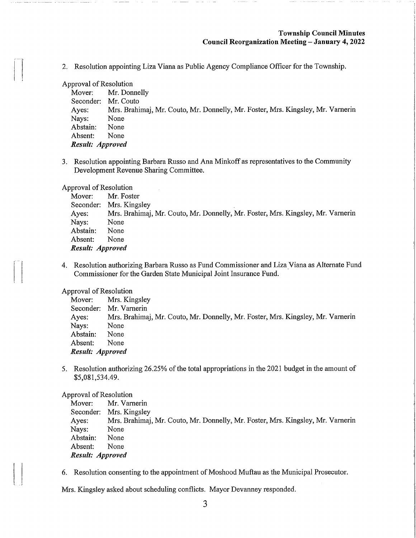2. Resolution appointing Liza Viana as Public Agency Compliance Officer for the Township.

#### Approval of Resolution

| Mr. Donnelly                                                                    |
|---------------------------------------------------------------------------------|
| Mr. Couto                                                                       |
| Mrs. Brahimaj, Mr. Couto, Mr. Donnelly, Mr. Foster, Mrs. Kingsley, Mr. Varnerin |
| None                                                                            |
| None                                                                            |
| None                                                                            |
| Result: Approved                                                                |
|                                                                                 |

3. Resolution appointing Barbara Russo and Ana Minkoff as representatives to the Community Development Revenue Sharing Committee.

Approval of Resolution

| Mover:           | Mr. Foster                                                                      |
|------------------|---------------------------------------------------------------------------------|
|                  | Seconder: Mrs. Kingsley                                                         |
| Ayes:            | Mrs. Brahimaj, Mr. Couto, Mr. Donnelly, Mr. Foster, Mrs. Kingsley, Mr. Varnerin |
| Nays:            | None                                                                            |
| Abstain:         | None                                                                            |
| Absent:          | None                                                                            |
| Result: Approved |                                                                                 |

4. Resolution authorizing Barbara Russo as Fund Commissioner and Liza Viana as Alternate Fund Commissioner for the Garden State Municipal Joint Insurance Fund.

Approval of Resolution

| Mover:           | Mrs. Kingsley                                                                   |
|------------------|---------------------------------------------------------------------------------|
|                  | Seconder: Mr. Varnerin                                                          |
| Ayes:            | Mrs. Brahimaj, Mr. Couto, Mr. Donnelly, Mr. Foster, Mrs. Kingsley, Mr. Varnerin |
| Nays:            | None                                                                            |
| Abstain:         | None                                                                            |
| Absent:          | None                                                                            |
| Result: Approved |                                                                                 |

5. Resolution authorizing 26.25% of the total appropriations in the 2021 budget in the amount of \$5,081,534.49.

Approval of Resolution

| Mover:           | Mr. Varnerin                                                                    |
|------------------|---------------------------------------------------------------------------------|
|                  | Seconder: Mrs. Kingsley                                                         |
| Ayes:            | Mrs. Brahimaj, Mr. Couto, Mr. Donnelly, Mr. Foster, Mrs. Kingsley, Mr. Varnerin |
| Nays:            | None                                                                            |
| Abstain:         | None                                                                            |
| Absent:          | None                                                                            |
| Result: Approved |                                                                                 |

6. Resolution consenting to the appointment of Moshood Muftau as the Municipal Prosecutor.

Mrs. Kingsley asked about scheduling conflicts. Mayor Devanney responded.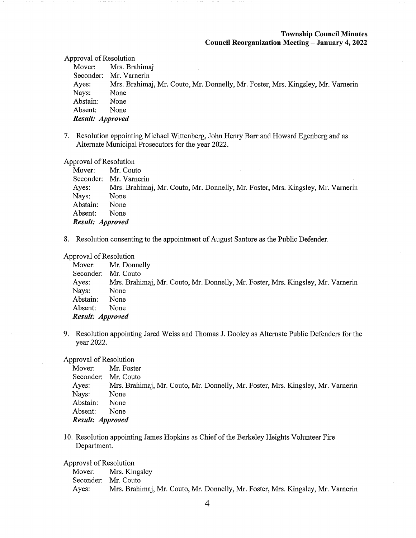Approval of Resolution

Mover: Mrs. Brahimaj Seconder: Mr. Varnerin Ayes; Mrs. Brahimaj, Mr. Couto, Mr. Donnelly, Mr. Foster, Mrs. Kingsley, Mr. Varnerin Nays: None Abstain: None Absent: None Result: Approved

7. Resolution appointing Michael Wittenberg, John Henry Barr and Howard Egenberg and as Alternate Municipal Prosecutors for the year 2022.

Approval of Resolution

Mover: Mr. Couto Seconder: Mr. Vamerin Ayes: Mrs. Brahimaj, Mr. Couto, Mr. Donnelly, Mr. Foster, Mrs. Kingsley, Mr. Vamerin Nays: None Abstain: None Absent: None Result: Approved

8. Resolution consenting to the appointment of August Santore as the Public Defender.

#### Approval of Resolution

Mover: Mr. Donnelly Seconder: Mr. Couto Ayes: Mrs. Brahimaj, Mr. Couto, Mr. Donnelly, Mr. Foster, Mrs. Kingsley, Mr. Vamerin Nays: None Abstain: None Absent: None Result: Approved

9. Resolution appointing Jared Weiss and Thomas J. Dooley as Alternate Public Defenders for the year 2022.

Approval of Resolution

Mover: Mr. Foster Seconder: Mr. Couto Ayes: Mrs. Brahimaj, Mr. Couto, Mr. Donnelly, Mr. Foster, Mrs. Kingsley, Mr. Varnerin Nays: None Abstain: None Absent: None Result: Approved

10. Resolution appointing James Hopkins as Chief of the Berkeley Heights Volunteer Fire Department.

Approval of Resolution

Mover: Mrs. Kingsley Seconder: Mr. Couto Ayes: Mrs. Brahimaj, Mr. Couto, Mr. Donnelly, Mr. Foster, Mrs. Kingsley, Mr. Varnerin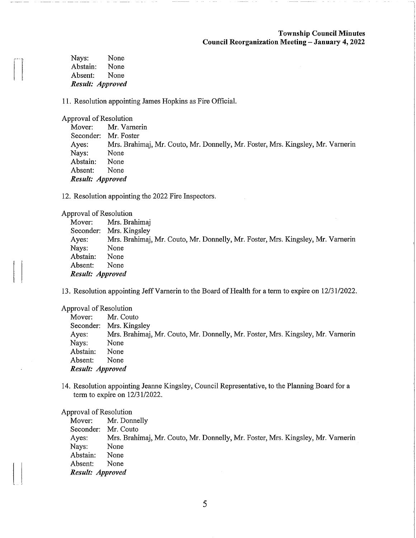| Nays:    | None             |
|----------|------------------|
| Abstain: | None             |
| Absent:  | None             |
|          | Result: Approved |

11. Resolution appointing James Hopkins as Fire Official.

Approval of Resolution

|                      | Mover: Mr. Varnerin                                                             |
|----------------------|---------------------------------------------------------------------------------|
| Seconder: Mr. Foster |                                                                                 |
| Ayes:                | Mrs. Brahimaj, Mr. Couto, Mr. Donnelly, Mr. Foster, Mrs. Kingsley, Mr. Varnerin |
| Nays:                | None                                                                            |
| Abstain:             | None                                                                            |
| Absent:              | None                                                                            |
| Result: Approved     |                                                                                 |

12. Resolution appointing the 2022 Fire Inspectors.

Approval of Resolution

| Mover:           | Mrs. Brahimaj                                                                   |
|------------------|---------------------------------------------------------------------------------|
|                  | Seconder: Mrs. Kingsley                                                         |
| Ayes:            | Mrs. Brahimaj, Mr. Couto, Mr. Donnelly, Mr. Foster, Mrs. Kingsley, Mr. Varnerin |
| Nays:            | None                                                                            |
| Abstain:         | None                                                                            |
| Absent:          | None                                                                            |
| Result: Approved |                                                                                 |

13. Resolution appointing Jeff Varnerin to the Board of Health for a term to expire on 12/31/2022.

Approval of Resolution

| Mover:           | Mr. Couto                                                                       |
|------------------|---------------------------------------------------------------------------------|
|                  | Seconder: Mrs. Kingsley                                                         |
| Ayes:            | Mrs. Brahimaj, Mr. Couto, Mr. Donnelly, Mr. Foster, Mrs. Kingsley, Mr. Varnerin |
| Nays:            | None                                                                            |
| Abstain:         | None                                                                            |
| Absent:          | None                                                                            |
| Result: Approved |                                                                                 |

14. Resolution appointing Jeanne Kingsley, Council Representative, to the Planning Board for a term to expire on 12/31/2022.

#### Approval of Resolution

Mover: Mr. Donnelly Seconder: Mr. Couto Ayes: Mrs. Brahimaj, Mr. Couto, Mr. Donnelly, Mr. Foster, Mrs. Kingsley, Mr. Vamerin Nays: None Abstain: None Absent: None Result: Approved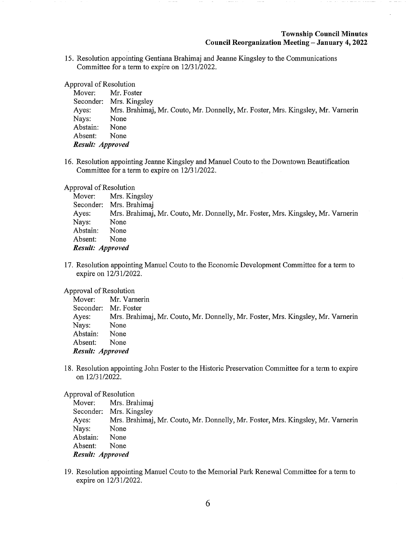15. Resolution appointing Gentiana Brahimaj and Jeanne Kingsley to the Communications Committee for a term to expire on 12/31/2022.

Approval of Resolution

| Mover:           | Mr. Foster                                                                      |
|------------------|---------------------------------------------------------------------------------|
|                  | Seconder: Mrs. Kingsley                                                         |
| Ayes:            | Mrs. Brahimaj, Mr. Couto, Mr. Donnelly, Mr. Foster, Mrs. Kingsley, Mr. Varnerin |
| Nays:            | None                                                                            |
| Abstain:         | None                                                                            |
| Absent:          | None                                                                            |
| Result: Approved |                                                                                 |

16. Resolution appointing Jeanne Kingsley and Manuel Couto to the Downtown Beautification Committee for a term to expire on 12/31/2022.

Approval of Resolution

| Mover:           | Mrs. Kingsley                                                                   |
|------------------|---------------------------------------------------------------------------------|
|                  | Seconder: Mrs. Brahimaj                                                         |
| Ayes:            | Mrs. Brahimaj, Mr. Couto, Mr. Donnelly, Mr. Foster, Mrs. Kingsley, Mr. Varnerin |
| Nays:            | None                                                                            |
| Abstain:         | None                                                                            |
| Absent:          | None                                                                            |
| Result: Approved |                                                                                 |

17. Resolution appointing Manuel Couto to the Economic Development Committee for a term to expire on 12/31/2022.

Approval of Resolution

Mover: Mr. Varnerin Seconder: Mr. Foster Ayes: Mrs. Brahimaj, Mr. Couto, Mr. Donnelly, Mr. Foster, Mrs. Kingsley, Mr. Vamerin Nays: None Abstain: None Absent: None Result: Approved

18. Resolution appointing John Foster to the Historic Preservation Committee for a term to expire on 12/31/2022.

## Approval of Resolution

| Mover:           | Mrs. Brahimaj                                                                   |
|------------------|---------------------------------------------------------------------------------|
|                  | Seconder: Mrs. Kingsley                                                         |
| Ayes:            | Mrs. Brahimai, Mr. Couto, Mr. Donnelly, Mr. Foster, Mrs. Kingsley, Mr. Varnerin |
| Nays:            | None                                                                            |
| Abstain:         | None                                                                            |
| Absent:          | None                                                                            |
| Result: Approved |                                                                                 |

19. Resolution appointing Manuel Couto to the Memorial Park Renewal Committee for a term to expire on 12/31/2022.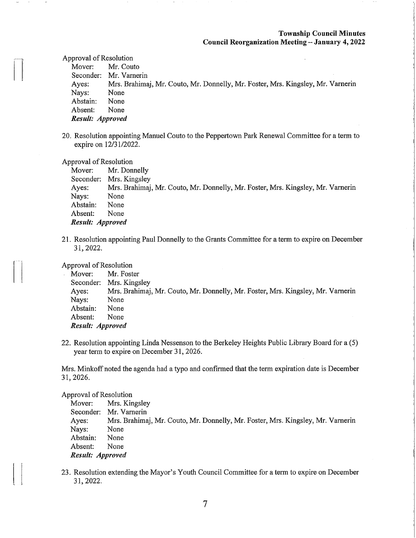Approval of Resolution

Mover: Mr. Couto Seconder: Mr. Varnerin Ayes: Mrs. Brahimaj, Mr. Couto, Mr. Donnelly, Mr. Foster, Mrs. Kingsley, Mr. Varnerm Nays: None Abstain: None Absent: None Result: Approved

20. Resolution appointing Manuel Couto to the Peppertown Park Renewal Committee for a term to expire on 12/31/2022.

Approval of Resolution

Mover: Mr. Donnelly Seconder: Mrs. Kingsley Ayes: Mrs. Brahimaj, Mr. Couto, Mr. Donnelly, Mr. Foster, Mrs. Kingsley, Mr. Vamerin Nays: None Abstain: None Absent: None Result: Approved

21. Resolution appointing Paul Donnelly to the Grants Committee for a term to expire on December 31,2022.

Approval of Resolution

Mover: Mr. Foster Seconder: Mrs. Kingsley Ayes: Mrs. Brahimaj, Mr. Couto, Mr. Donnelly, Mr. Foster, Mrs. Kingsley, Mr. Varnerin Nays: None Abstain: None Absent: None Result: Approved

22. Resolution appointing Linda Nessenson to the Berkeley Heights Public Library Board for a (5) year term to expire on December 31, 2026.

Mrs. Minkoff noted the agenda had a typo and confirmed that the term expiration date is December 31,2026.

Approval of Resolution

| Mover:           | Mrs. Kingsley                                                                   |
|------------------|---------------------------------------------------------------------------------|
|                  | Seconder: Mr. Varnerin                                                          |
| Ayes:            | Mrs. Brahimaj, Mr. Couto, Mr. Donnelly, Mr. Foster, Mrs. Kingsley, Mr. Varnerin |
| Nays:            | None                                                                            |
| Abstain:         | None                                                                            |
| Absent:          | None                                                                            |
| Result: Approved |                                                                                 |

23. Resolution extending the Mayor's Youth Council Committee for a term to expire on December 31,2022.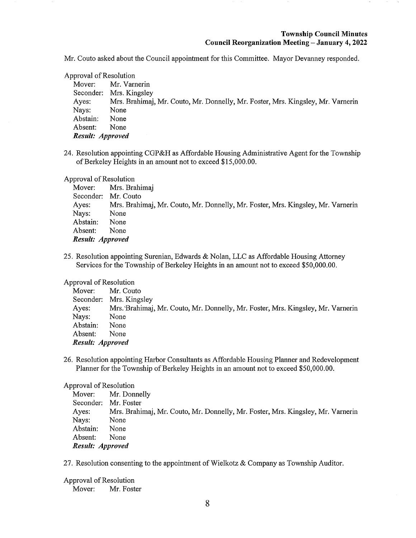Mr. Couto asked about the Council appointment for this Committee. Mayor Devanney responded.

Approval of Resolution Mover: Mr. Varnerin Seconder: Mrs. Kingsley Ayes: Mrs. Brahimaj, Mr. Couto, Mr. Donnelly, Mr. Foster, Mrs. Kingsley, Mr. Vamerin Nays: None Abstain: None Absent: None Result: Approved

24. Resolution appointing CGP&H as Affordable Housing Administrative Agent for the Township of Berkeley Heights in an amount not to exceed \$15,000.00.

Approval of Resolution

| Mover:              | Mrs. Brahimaj                                                                   |
|---------------------|---------------------------------------------------------------------------------|
| Seconder: Mr. Couto |                                                                                 |
| Ayes:               | Mrs. Brahimaj, Mr. Couto, Mr. Donnelly, Mr. Foster, Mrs. Kingsley, Mr. Varnerin |
| Nays:               | None                                                                            |
| Abstain:            | None                                                                            |
| Absent:             | None                                                                            |
| Result: Approved    |                                                                                 |

25. Resolution appointing Surenian, Edwards & Nolan, LLC as Affordable Housing Attorney Services for the Township of Berkeley Heights in an amount not to exceed \$50,000.00.

## Approval of Resolution

| Absent:  | <b>None</b>                                                                     |
|----------|---------------------------------------------------------------------------------|
| Abstain: | None                                                                            |
| Nays:    | None                                                                            |
| Ayes:    | Mrs. Brahimaj, Mr. Couto, Mr. Donnelly, Mr. Foster, Mrs. Kingsley, Mr. Varnerin |
|          | Seconder: Mrs. Kingsley                                                         |
| Mover:   | Mr. Couto                                                                       |

26. Resolution appointing Harbor Consultants as Affordable Housing Planner and Redevelopment Planner for the Township of Berkeley Heights in an amount not to exceed \$50,000.00.

## Approval of Resolution

Mover: Mr. Donnelly Seconder: Mr. Foster Ayes: Mrs. Brahimaj, Mr. Couto, Mr. Donnelly, Mr. Foster, Mrs. Kingsley, Mr. Varnerin Nays: None Abstain: None Absent: None Result: Approved

27. Resolution consenting to the appointment of Wielkotz & Company as Township Auditor.

Approval of Resolution Mover: Mr. Foster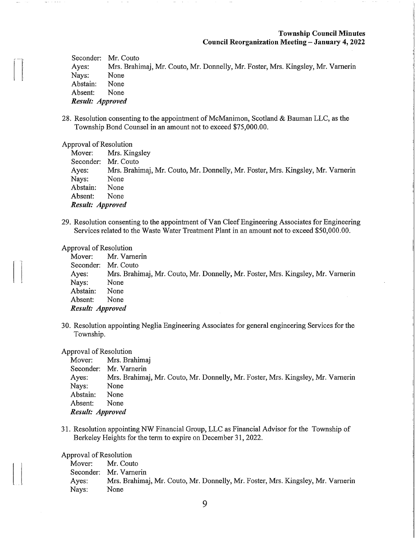Seconder: Mr. Couto Ayes: Mrs. Brahimaj, Mr. Couto, Mr. Donnelly, Mr. Foster, Mrs. Kingsley, Mr. Vamerin Nays: None<br>Abstain: None Abstain: Absent: None Result: Approved

28. Resolution consenting to the appointment of McManimon, Scotland & Bauman LLC, as the Township Bond Counsel in an amount not to exceed \$75,000.00.

#### Approval of Resolution

|                     | Mover: Mrs. Kingsley                                                            |
|---------------------|---------------------------------------------------------------------------------|
| Seconder: Mr. Couto |                                                                                 |
| Ayes:               | Mrs. Brahimaj, Mr. Couto, Mr. Donnelly, Mr. Foster, Mrs. Kingsley, Mr. Varnerin |
| Nays:               | None                                                                            |
| Abstain:            | None                                                                            |
| Absent:             | None                                                                            |
| Result: Approved    |                                                                                 |

29. Resolution consenting to the appointment of Van Cleef Engineering Associates for Engineering Services related to the Waste Water Treatment Plant in an amount not to exceed \$50,000.00.

#### Approval of Resolution

|                  | Mover: Mr. Varnerin                                                             |
|------------------|---------------------------------------------------------------------------------|
|                  | Seconder: Mr. Couto                                                             |
| Ayes:            | Mrs. Brahimaj, Mr. Couto, Mr. Donnelly, Mr. Foster, Mrs. Kingsley, Mr. Varnerin |
| Nays:            | None                                                                            |
| Abstain:         | None                                                                            |
| Absent:          | None                                                                            |
| Result: Approved |                                                                                 |

30. Resolution appointing Neglia Engineering Associates for general engineering Services for the Township.

#### Approval of Resolution

|                  | Mover: Mrs. Brahimaj                                                            |
|------------------|---------------------------------------------------------------------------------|
|                  | Seconder: Mr. Varnerin                                                          |
| Ayes:            | Mrs. Brahimaj, Mr. Couto, Mr. Donnelly, Mr. Foster, Mrs. Kingsley, Mr. Varnerin |
| Nays:            | None                                                                            |
| Abstain:         | None                                                                            |
| Absent:          | None                                                                            |
| Result: Approved |                                                                                 |

31. Resolution appointing NW Financial Group, LLC as Financial Advisor for the Township of Berkeley Heights for the term to expire on December 31, 2022.

Approval of Resolution

Mover: Mr. Couto Seconder: Mr. Vamerin Ayes: Mrs. Brahimaj, Mr. Couto, Mr. Donnelly, Mr. Foster, Mrs. Kingsley, Mr. Vamerin Nays: None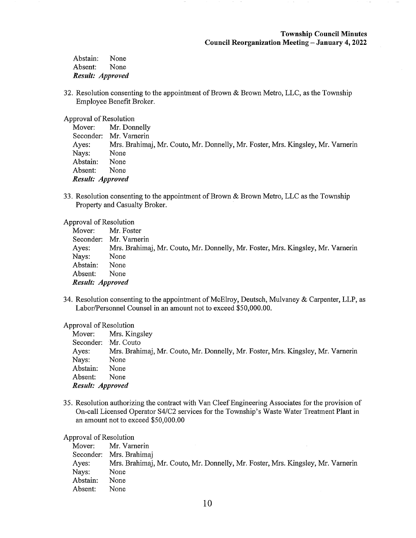Abstain: None Absent: None Result: Approved

32. Resolution consenting to the appointment of Brown & Brown Metro, LLC, as the Township Employee Benefit Broker.

Approval of Resolution

|                  | Mover: Mr. Donnelly                                                             |
|------------------|---------------------------------------------------------------------------------|
|                  | Seconder: Mr. Varnerin                                                          |
| Ayes:            | Mrs. Brahimaj, Mr. Couto, Mr. Donnelly, Mr. Foster, Mrs. Kingsley, Mr. Varnerin |
| Nays:            | None                                                                            |
| Abstain:         | None                                                                            |
| Absent:          | None                                                                            |
| Result: Approved |                                                                                 |

33. Resolution consenting to the appointment of Brown & Brown Metro, LLC as the Township Property and Casualty Broker.

Approval of Resolution

| Mover:           | Mr. Foster                                                                      |
|------------------|---------------------------------------------------------------------------------|
|                  | Seconder: Mr. Varnerin                                                          |
| Ayes:            | Mrs. Brahimaj, Mr. Couto, Mr. Donnelly, Mr. Foster, Mrs. Kingsley, Mr. Varnerin |
| Nays:            | None                                                                            |
| Abstain:         | None                                                                            |
| Absent:          | None                                                                            |
| Result: Approved |                                                                                 |

34. Resolution consenting to the appointment of McElroy, Deutsch, Mulvaney & Carpenter, LLP, as Labor/Personnel Counsel in an amount not to exceed \$50,000.00.

Approval of Resolution

|                     | Mover: Mrs. Kingsley                                                            |
|---------------------|---------------------------------------------------------------------------------|
| Seconder: Mr. Couto |                                                                                 |
| Ayes:               | Mrs. Brahimaj, Mr. Couto, Mr. Donnelly, Mr. Foster, Mrs. Kingsley, Mr. Varnerin |
| Nays:               | None                                                                            |
| Abstain:            | None                                                                            |
| Absent:             | None                                                                            |
| Result: Approved    |                                                                                 |

35. Resolution authorizing the contract with Van Cleef Engineering Associates for the provision of On-call Licensed Operator S4/C2 services for the Township's Waste Water Treatment Plant in an amount not to exceed \$50,000.00

Approval of Resolution

| Mover:   | Mr. Varnerin                                                                    |
|----------|---------------------------------------------------------------------------------|
|          | Seconder: Mrs. Brahimaj                                                         |
| Ayes:    | Mrs. Brahimaj, Mr. Couto, Mr. Donnelly, Mr. Foster, Mrs. Kingsley, Mr. Varnerin |
| Nays:    | None                                                                            |
| Abstain: | None                                                                            |
| Absent:  | None                                                                            |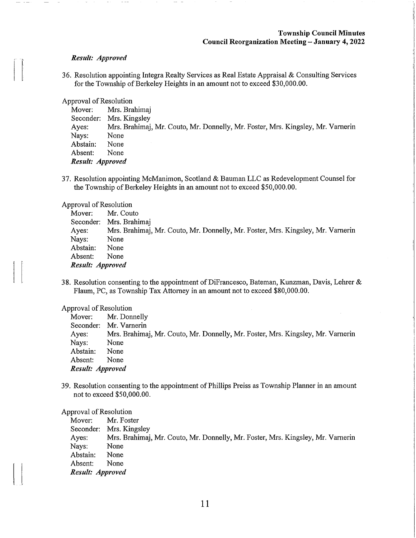#### Result: Approved

36. Resolution appointing Integra Realty Services as Real Estate Appraisal & Consulting Services for the Township of Berkeley Heights in an amount not to exceed \$30,000.00.

Approval of Resolution

| Mover:           | Mrs. Brahimaj                                                                   |
|------------------|---------------------------------------------------------------------------------|
| Seconder:        | Mrs. Kingsley                                                                   |
| Ayes:            | Mrs. Brahimaj, Mr. Couto, Mr. Donnelly, Mr. Foster, Mrs. Kingsley, Mr. Varnerin |
| Nays:            | None                                                                            |
| Abstain:         | None                                                                            |
| Absent:          | None                                                                            |
| Result: Approved |                                                                                 |

37. Resolution appointing McManimon, Scotland & Bauman LLC as Redevelopment Counsel for the Township of Berkeley Heights in an amount not to exceed \$50,000.00.

#### Approval of Resolution

| Mover:           | Mr. Couto                                                                       |
|------------------|---------------------------------------------------------------------------------|
|                  | Seconder: Mrs. Brahimaj                                                         |
| Ayes:            | Mrs. Brahimaj, Mr. Couto, Mr. Donnelly, Mr. Foster, Mrs. Kingsley, Mr. Varnerin |
| Nays:            | None                                                                            |
| Abstain:         | None                                                                            |
| Absent:          | None                                                                            |
| Result: Approved |                                                                                 |

38. Resolution consenting to the appointment of DiFrancesco, Bateman, Kunzman, Davis, Lehrer  $\&$ Flaum, PC, as Township Tax Attorney in an amount not to exceed \$80,000.00.

#### Approval of Resolution

| Mover:           | Mr. Donnelly                                                                    |
|------------------|---------------------------------------------------------------------------------|
|                  | Seconder: Mr. Varnerin                                                          |
| Ayes:            | Mrs. Brahimaj, Mr. Couto, Mr. Donnelly, Mr. Foster, Mrs. Kingsley, Mr. Varnerin |
| Nays:            | None                                                                            |
| Abstain:         | None                                                                            |
| Absent:          | None                                                                            |
| Result: Approved |                                                                                 |

39. Resolution consenting to the appointment of Phillips Preiss as Township Planner in an amount not to exceed \$50,000.00.

#### Approval of Resolution

Mover; Mr. Foster Seconder: Mrs. Kingsley Ayes: Mrs. Brahimaj, Mr. Couto, Mr. Donnelly, Mr. Foster, Mrs. Kingsley, Mr. Vamerin Nays: None Abstain: None Absent: None Result: Approved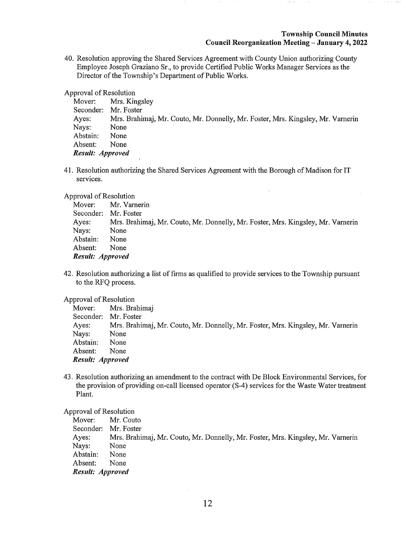40. Resolution approving the Shared Services Agreement with County Union authorizing County Employee Joseph Graziano Sr., to provide Certified Public Works Manager Services as the Director of the Township's Department of Public Works.

Approval of Resolution

Mover: Mrs. Kingsley Seconder: Mr. Foster Ayes: Mrs. Brahimaj, Mr. Couto, Mr. Donnelly, Mr. Foster, Mrs. Kingsley, Mr. Varnerin Nays: None<br>Abstain: None Abstain: Absent: None Result: Approved

41. Resolution authorizing the Shared Services Agreement with the Borough of Madison for IT services.

Approval of Resolution

|                      | Mover: Mr. Varnerin                                                             |
|----------------------|---------------------------------------------------------------------------------|
| Seconder: Mr. Foster |                                                                                 |
| Ayes:                | Mrs. Brahimaj, Mr. Couto, Mr. Donnelly, Mr. Foster, Mrs. Kingsley, Mr. Varnerin |
| Nays:                | None                                                                            |
| Abstain:             | None                                                                            |
| Absent:              | None                                                                            |
| Result: Approved     |                                                                                 |

42. Resolution authorizing a list of firms as qualified to provide services to the Township pursuant to the RFQ process.

## Approval of Resolution

Mover: Mrs. Brahimaj Seconder: Mr. Foster Ayes: Mrs. Brahimaj, Mr. Couto, Mr. Donnelly, Mr. Foster, Mrs. Kingsley, Mr. Varnerin Nays: None Abstain: None Absent: None Result: Approved

43. Resolution authorizing an amendment to the contract with De Block Environmental Services, for the provision of providing on-call licensed operator (S-4) services for the Waste Water treatment Plant.

## Approval of Resolution

Mover: Mr. Couto Seconder: Mr. Foster Ayes: Mrs. Brahimaj, Mr. Couto, Mr. Donnelly, Mr. Foster, Mrs. Kingsley, Mr. Varnerin Nays: None Abstain: None Absent: None Result: Approved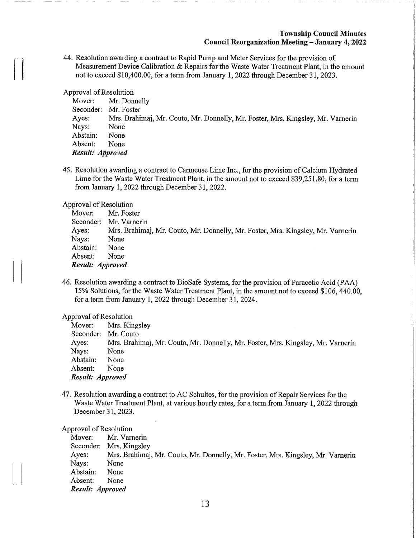44. Resolution awarding a contract to Rapid Pump and Meter Services for the provision of Measurement Device Calibration & Repairs for the Waste Water Treatment Plant, in the amount not to exceed \$10,400.00, for a term from January 1, 2022 through December 31, 2023.

Approval of Resolution

| Mover:           | Mr. Donnelly                                                                    |
|------------------|---------------------------------------------------------------------------------|
| Seconder:        | Mr. Foster                                                                      |
| Ayes:            | Mrs. Brahimaj, Mr. Couto, Mr. Donnelly, Mr. Foster, Mrs. Kingsley, Mr. Varnerin |
| Nays:            | None                                                                            |
| Abstain:         | None                                                                            |
| Absent:          | None                                                                            |
| Result: Approved |                                                                                 |

45. Resolution awarding a contract to Carmeuse Lime Inc., for the provision of Calcium Hydrated Lime for the Waste Water Treatment Plant, in the amount not to exceed \$39,251 .80, for a term from January 1, 2022 through December 31, 2022.

Approval of Resolution

| Mover:           | Mr. Foster                                                                      |
|------------------|---------------------------------------------------------------------------------|
|                  | Seconder: Mr. Varnerin                                                          |
| Ayes:            | Mrs. Brahimaj, Mr. Couto, Mr. Donnelly, Mr. Foster, Mrs. Kingsley, Mr. Varnerin |
| Nays:            | None                                                                            |
| Abstain:         | None                                                                            |
| Absent:          | None                                                                            |
| Result: Approved |                                                                                 |

46. Resolution awarding a contract to BioSafe Systems, for the provision of Paracetic Acid (PAA) 15% Solutions, for the Waste Water Treatment Plant, in the amount not to exceed \$106, 440.00, for a term from January 1, 2022 through December 31, 2024.

Approval of Resolution

|                     | Mover: Mrs. Kingsley                                                            |
|---------------------|---------------------------------------------------------------------------------|
| Seconder: Mr. Couto |                                                                                 |
| Ayes:               | Mrs. Brahimaj, Mr. Couto, Mr. Donnelly, Mr. Foster, Mrs. Kingsley, Mr. Varnerin |
| Nays:               | None                                                                            |
| Abstain:            | None                                                                            |
| Absent:             | None                                                                            |
| Result: Approved    |                                                                                 |

47. Resolution awarding a contract to AC Schultes, for the provision of Repair Services for the Waste Water Treatment Plant, at various hourly rates, for a term from January 1, 2022 through December 31,2023.

Approval of Resolution

Mover: Mr. Varnerin Seconder: Mrs. Kingsley Ayes: Mrs. Brahimaj, Mr. Couto, Mr. Donnelly, Mr. Foster, Mrs. Kingsley, Mr. Vamerin Nays: None Abstain: None Absent: None Result: Approved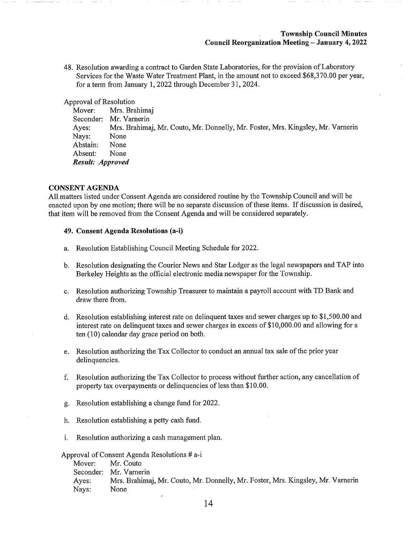48. Resolution awarding a contract to Garden State Laboratories, for the provision of Laboratory Services for the Waste Water Treatment Plant, in the amount not to exceed \$68,370.00 per year, for a term from January 1, 2022 through December 31, 2024.

Approval of Resolution

Mover: Mrs. Brahimaj Seconder: Mr. Vamerin Ayes: Mrs. Brahimaj, Mr. Couto, Mr. Donnelly, Mr. Foster, Mrs. Kingsley, Mr. Varnerin Nays: None<br>Abstain: None Abstain: Absent: None Result: Approved

## CONSENT AGENDA

All matters listed under Consent Agenda are considered routine by the Township Council and will be enacted upon by one motion; there will be no separate discussion of these items. If discussion is desired, that item will be removed from the Consent Agenda and will be considered separately.

#### 49. Consent Agenda Resolutions (a-i)

- a. Resolution Establishing Council Meeting Schedule for 2022.
- b. Resolution designating the Courier News and Star Ledger as the legal newspapers and TAP into Berkeley Heights as the official electronic media newspaper for the Township.
- c. Resolution authorizing Township Treasurer to maintain a payroll account with TD Bank and draw there from.
- d. Resolution establishing interest rate on delinquent taxes and sewer charges up to \$1,500.00 and interest rate on delinquent taxes and sewer charges in excess of \$10,000.00 and allowing for a ten (10) calendar day grace period on both.
- e. Resolution authorizing the Tax Collector to conduct an annual tax sale of the prior year delinquencies.
- f. Resolution authorizing the Tax Collector to process without further action, any cancellation of property tax overpayments or delinquencies of less than \$10.00.
- g. Resolution establishing a change fund for 2022.
- h. Resolution establishing a petty cash fund.
- i. Resolution authorizing a cash management plan.

Approval of Consent Agenda Resolutions # a-i

Mover: Mr. Couto Seconder: Mr. Varnerin Ayes: Mrs. Brahimaj, Mr. Couto, Mr. Donnelly, Mr. Foster, Mrs. Kingsley, Mr. Varnerin Nays: None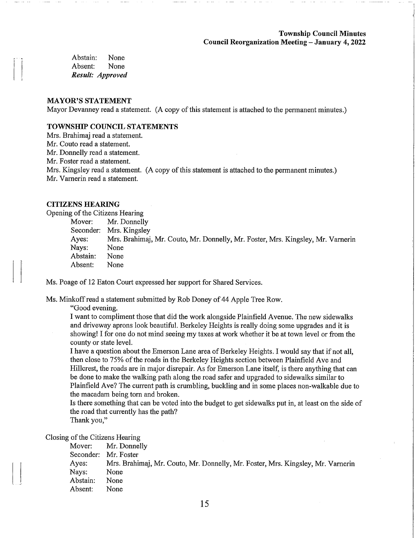Abstain: None Absent: None Result: Approved

## MAYOR'S STATEMENT

Mayor Devanney read a statement. (A copy of this statement is attached to the permanent minutes.)

## TOWNSHIP COUNCIL STATEMENTS

Mrs. Brahimaj read a statement. Mr. Couto read a statement. Mr. Donnelly read a statement. Mr. Foster read a statement. Mrs. Kingsley read a statement. (A copy of this statement is attached to the permanent minutes.) Mr. Vamerin read a statement.

# CITIZENS HEARING

Opening of the Citizens Hearing

| Mover:   | Mr. Donnelly                                                                    |
|----------|---------------------------------------------------------------------------------|
|          | Seconder: Mrs. Kingsley                                                         |
| Ayes:    | Mrs. Brahimaj, Mr. Couto, Mr. Donnelly, Mr. Foster, Mrs. Kingsley, Mr. Varnerin |
| Nays:    | None                                                                            |
| Abstain: | None                                                                            |
| Absent:  | None                                                                            |

Ms. Poage of 12 Eaton Court expressed her support for Shared Services.

Ms. Minkoff read a statement submitted by Rob Doney of 44 Apple Tree Row.

"Good evening.

I want to compliment those that did the work alongside Plainfield Avenue. The new sidewalks and driveway aprons look beautiful. Berkeley Heights is really doing some upgrades and it is showing! I for one do not mind seeing my taxes at work whether it be at town level or from the county or state level.

I have a question about the Emerson Lane area of Berkeley Heights. I would say that if not all, then close to 75% of the roads in the Berkeley Heights section between Plainfield Ave and Hillcrest, the roads are in major disrepair. As for Emerson Lane itself, is there anything that can be done to make the walking path along the road safer and upgraded to sidewalks similar to Plainfield Ave? The current path is crumbling, buckling and in some places non-walkable due to the macadam being torn and broken.

Is there something that can be voted into the budget to get sidewalks put in, at least on the side of the road that currently has the path?

Thank you,"

Closing of the Citizens Hearing

Mover: Mr. Donnelly Seconder: Mr. Foster Ayes: Mrs. Brahimaj, Mr. Couto, Mr. Donnelly, Mr. Foster, Mrs. Kingsley, Mr. Vamerin Nays: None Abstain: None Absent: None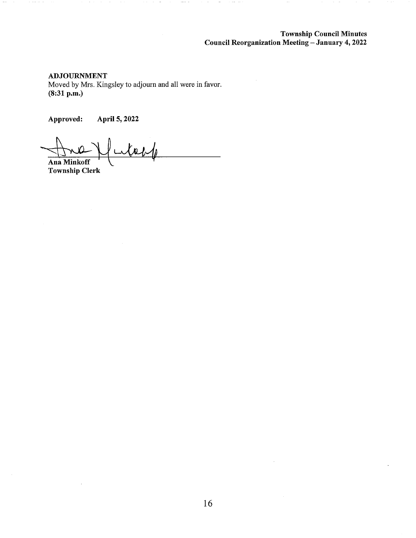ADJOURNMENT

Moved by Mrs. Kingsley to adjourn and all were in favor. (8:31 p.m.)

Approved: April 5,2022

Ana Minkoff Township Clerk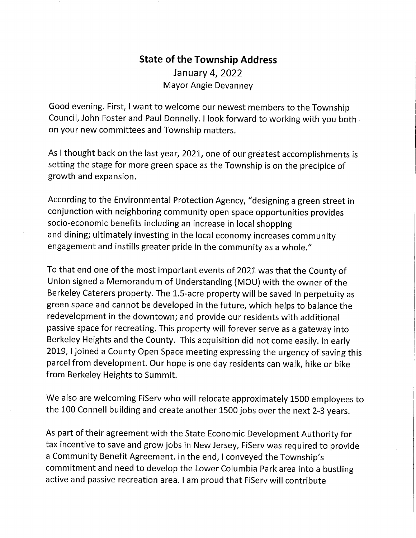# State of the Township Address January4, 2022 Mayor Angie Devanney

Good evening. First, I want to welcome our newest members to the Township Council, John Foster and Paul Donnelly. I look forward to working with you both on your new committees and Township matters.

As I thought back on the last year, 2021, one of our greatest accomplishments is setting the stage for more green space as the Township is on the precipice of growth and expansion.

According to the Environmental Protection Agency, "designing a green street in conjunction with neighboring community open space opportunities provides socio-economic benefits including an increase in local shopping and dining; ultimately investing in the local economy increases community engagement and instills greater pride in the community as a whole."

To that end one of the most important events of 2021 was that the County of Union signed a Memorandum of Understanding (MOU) with the owner of the Berkeley Caterers property. The 1.5-acre property will be saved in perpetuity as green space and cannot be developed in the future, which helps to balance the redevelopment in the downtown; and provide our residents with additional passive space for recreating. This property will forever serve as a gateway into Berkeley Heights and the County. This acquisition did not come easily. In early 2019,1 joined a County Open Space meeting expressing the urgency of saving this parcel from development. Our hope is one day residents can walk, hike or bike from Berkeley Heights to Summit.

We also are welcoming FiServ who will relocate approximately 1500 employees to the 100 Connell building and create another 1500 jobs over the next 2-3 years.

As part of their agreement with the State Economic Development Authority for tax incentive to save and grow jobs in New Jersey, FiServ was required to provide a Community Benefit Agreement. In the end, I conveyed the Township's commitment and need to develop the Lower Columbia Park area into a bustling active and passive recreation area. I am proud that FiServ will contribute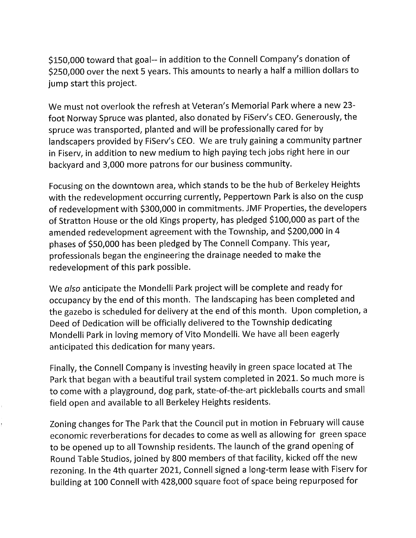\$150,000 toward that goal-- in addition to the Connell Company's donation of \$250,000 over the next 5 years. This amounts to nearly a half a million dollars to jump start this project.

We must not overlook the refresh at Veteran's Memorial Park where a new 23 foot Norway Spruce was planted, also donated by FiServ's CEO. Generously, the spruce was transported, planted and will be professionally cared for by landscapers provided by FiServ's CEO. We are truly gaining a community partner in Fiserv, in addition to new medium to high paying tech jobs right here in our backyard and 3,000 more patrons for our business community.

Focusing on the downtown area, which stands to be the hub of Berkeley Heights with the redevelopment occurring currently, Peppertown Park is also on the cusp of redevelopment with \$300,000 in commitments. JMF Properties, the developers of Stratton House or the old Kings property, has pledged \$100,000 as part of the amended redevelopment agreement with the Township, and \$200,000 in 4 phases of \$50,000 has been pledged by The Connell Company. This year, professionals began the engineering the drainage needed to make the redevelopment of this park possible.

We also anticipate the Mondelli Park project will be complete and ready for occupancy by the end of this month. The landscaping has been completed and the gazebo is scheduled for delivery at the end of this month. Upon completion, a Deed of Dedication will be officially delivered to the Township dedicating Mondelli Park in loving memory of Vito Mondelli. We have all been eagerly anticipated this dedication for many years.

Finally, the Connell Company is investing heavily in green space located at The Park that began with a beautiful trail system completed in 2021. So much more is to come with a playground, dog park, state-of-the-art pickleballs courts and small field open and available to all Berkeley Heights residents.

Zoning changes for The Park that the Council put in motion in February will cause economic reverberations for decades to come as well as allowing for green space to be opened up to all Township residents. The launch of the grand opening of Round Table Studios, joined by 800 members of that facility, kicked off the new rezoning. In the 4th quarter 2021, Connell signed a long-term lease with Fiserv for building at 100 Connell with 428,000 square foot of space being repurposed for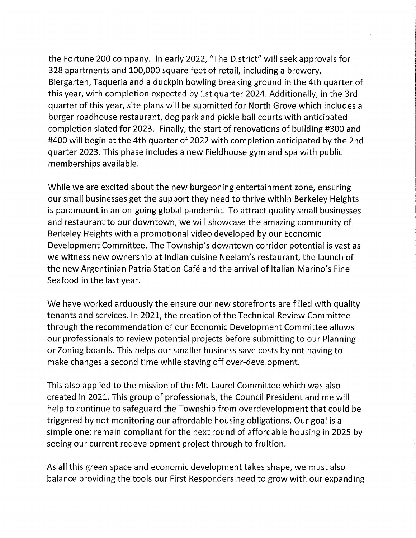the Fortune 200 company. In early 2022, "The District" will seek approvals for 328 apartments and 100,000 square feet of retail, including a brewery, Biergarten, Taqueria and a duckpin bowling breaking ground in the 4th quarter of this year, with completion expected by 1st quarter 2024. Additionally, in the 3rd quarter of this year, site plans will be submitted for North Grove which includes a burger roadhouse restaurant, dog park and pickle ball courts with anticipated completion slated for 2023. Finally, the start of renovations of building #300 and #400 will begin at the 4th quarter of 2022 with completion anticipated by the 2nd quarter 2023. This phase includes a new Fieldhouse gym and spa with public memberships available.

While we are excited about the new burgeoning entertainment zone, ensuring our small businesses get the support they need to thrive within Berkeley Heights is paramount in an on-going global pandemic. To attract quality small businesses and restaurant to our downtown, we will showcase the amazing community of Berkeley Heights with a promotional video developed by our Economic Development Committee. The Township's downtown corridor potential is vast as we witness new ownership at Indian cuisine Neelam's restaurant, the launch of the new Argentinian Patria Station Café and the arrival of Italian Marino's Fine Seafood in the last year.

We have worked arduously the ensure our new storefronts are filled with quality tenants and services. In 2021, the creation of the Technical Review Committee through the recommendation of our Economic Development Committee allows our professionals to review potential projects before submitting to our Planning or Zoning boards. This helps our smaller business save costs by not having to make changes a second time while staving off over-development.

This also applied to the mission of the Mt. Laurel Committee which was also created in 2021. This group of professionals, the Council President and me will help to continue to safeguard the Township from overdevelopment that could be triggered by not monitoring our affordable housing obligations. Our goal is a simple one: remain compliant for the next round of affordable housing in 2025 by seeing our current redevelopment project through to fruition.

As all this green space and economic development takes shape, we must also balance providing the tools our First Responders need to grow with our expanding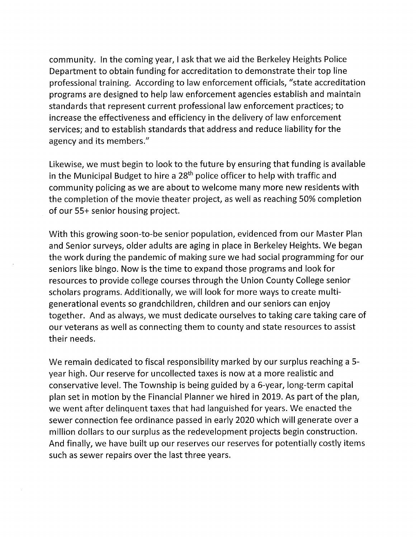community. In the coming year, I ask that we aid the Berkeley Heights Police Department to obtain funding for accreditation to demonstrate their top line professional training. According to law enforcement officials, "state accreditation programs are designed to help law enforcement agencies establish and maintain standards that represent current professional law enforcement practices; to increase the effectiveness and efficiency in the delivery of law enforcement services; and to establish standards that address and reduce liability for the agency and its members."

Likewise, we must begin to look to the future by ensuring that funding is available in the Municipal Budget to hire a 28<sup>th</sup> police officer to help with traffic and community policing as we are about to welcome many more new residents with the completion of the movie theater project, as well as reaching 50% completion of our 55+ senior housing project.

With this growing soon-to-be senior population, evidenced from our Master Plan and Senior surveys, older adults are aging in place in Berkeley Heights. We began the work during the pandemic of making sure we had social programming for our seniors like bingo. Now is the time to expand those programs and look for resources to provide college courses through the Union County College senior scholars programs. Additionally, we will look for more ways to create multigenerational events so grandchildren, children and our seniors can enjoy together. And as always, we must dedicate ourselves to taking care taking care of our veterans as well as connecting them to county and state resources to assist their needs.

We remain dedicated to fiscal responsibility marked by our surplus reaching a 5 year high. Our reserve for uncollected taxes is now at a more realistic and conservative level. The Township is being guided by a 6-year, long-term capital plan set in motion by the Financial Planner we hired in 2019. As part of the plan, we went after delinquent taxes that had languished for years. We enacted the sewer connection fee ordinance passed in early 2020 which will generate over a million dollars to our surplus as the redevelopment projects begin construction. And finally, we have built up our reserves our reserves for potentially costly items such as sewer repairs over the last three years.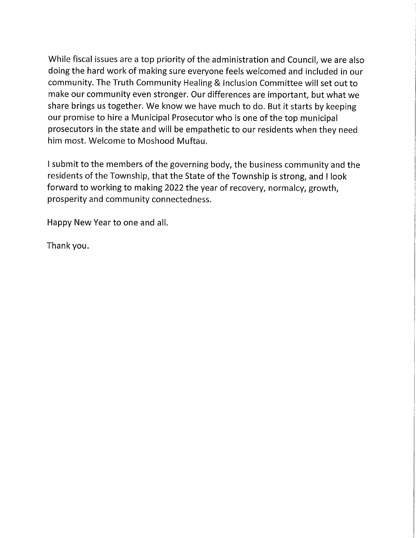While fiscal issues are a top priority of the administration and Council, we are also doing the hard work of making sure everyone feels welcomed and included in our community. The Truth Community Healing & Inclusion Committee will set out to make our community even stronger. Our differences are important, but what we share brings us together. We know we have much to do. But it starts by keeping our promise to hire a Municipal Prosecutor who is one of the top municipal prosecutors in the state and will be empathetic to our residents when they need him most. Welcome to Moshood Muftau.

I submit to the members of the governing body, the business community and the residents of the Township, that the State of the Township is strong, and I look forward to working to making 2022 the year of recovery, normalcy, growth, prosperity and community connectedness.

Happy New Year to one and all.

Thank you.